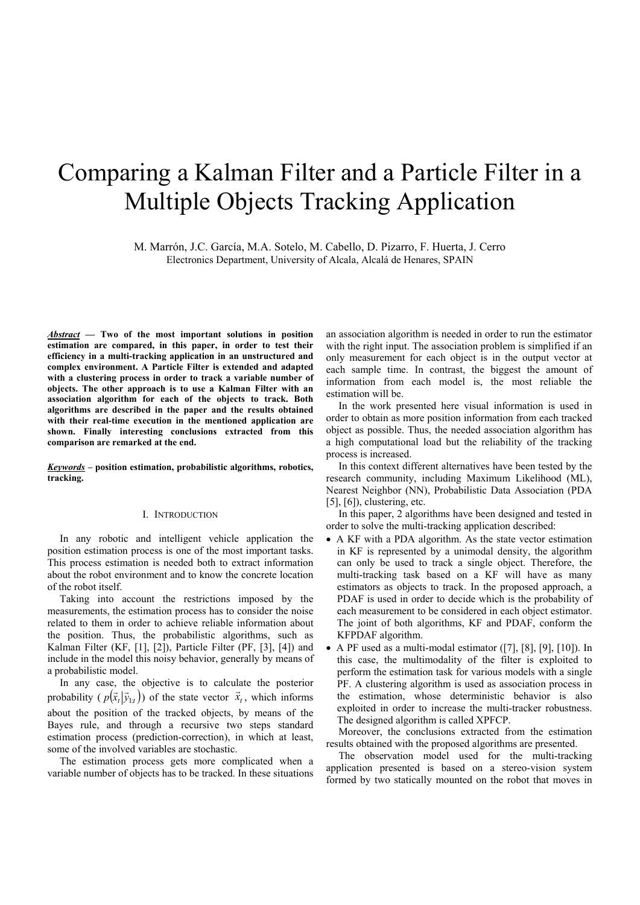# Comparing a Kalman Filter and a Particle Filter in a Multiple Objects Tracking Application

M. Marrón, J.C. García, M.A. Sotelo, M. Cabello, D. Pizarro, F. Huerta, J. Cerro Electronics Department, University of Alcala, Alcalá de Henares, SPAIN

*Abstract* **— Two of the most important solutions in position estimation are compared, in this paper, in order to test their efficiency in a multi-tracking application in an unstructured and complex environment. A Particle Filter is extended and adapted with a clustering process in order to track a variable number of objects. The other approach is to use a Kalman Filter with an association algorithm for each of the objects to track. Both algorithms are described in the paper and the results obtained with their real-time execution in the mentioned application are shown. Finally interesting conclusions extracted from this comparison are remarked at the end.**

*Keywords –* **position estimation, probabilistic algorithms, robotics, tracking.**

# I. INTRODUCTION

In any robotic and intelligent vehicle application the position estimation process is one of the most important tasks. This process estimation is needed both to extract information about the robot environment and to know the concrete location of the robot itself.

Taking into account the restrictions imposed by the measurements, the estimation process has to consider the noise related to them in order to achieve reliable information about the position. Thus, the probabilistic algorithms, such as Kalman Filter (KF, [1], [2]), Particle Filter (PF, [3], [4]) and include in the model this noisy behavior, generally by means of a probabilistic model.

In any case, the objective is to calculate the posterior probability  $(p(\vec{x}_t | \vec{y}_{1:t}))$  of the state vector  $\vec{x}_t$ , which informs about the position of the tracked objects, by means of the Bayes rule, and through a recursive two steps standard estimation process (prediction-correction), in which at least, some of the involved variables are stochastic.

The estimation process gets more complicated when a variable number of objects has to be tracked. In these situations an association algorithm is needed in order to run the estimator with the right input. The association problem is simplified if an only measurement for each object is in the output vector at each sample time. In contrast, the biggest the amount of information from each model is, the most reliable the estimation will be.

In the work presented here visual information is used in order to obtain as more position information from each tracked object as possible. Thus, the needed association algorithm has a high computational load but the reliability of the tracking process is increased.

In this context different alternatives have been tested by the research community, including Maximum Likelihood (ML), Nearest Neighbor (NN), Probabilistic Data Association (PDA  $[5]$ ,  $[6]$ ), clustering, etc.

In this paper, 2 algorithms have been designed and tested in order to solve the multi-tracking application described:

- A KF with a PDA algorithm. As the state vector estimation in KF is represented by a unimodal density, the algorithm can only be used to track a single object. Therefore, the multi-tracking task based on a KF will have as many estimators as objects to track. In the proposed approach, a PDAF is used in order to decide which is the probability of each measurement to be considered in each object estimator. The joint of both algorithms, KF and PDAF, conform the KFPDAF algorithm.
- A PF used as a multi-modal estimator ([7], [8], [9], [10]). In this case, the multimodality of the filter is exploited to perform the estimation task for various models with a single PF. A clustering algorithm is used as association process in the estimation, whose deterministic behavior is also exploited in order to increase the multi-tracker robustness. The designed algorithm is called XPFCP.

Moreover, the conclusions extracted from the estimation results obtained with the proposed algorithms are presented.

The observation model used for the multi-tracking application presented is based on a stereo-vision system formed by two statically mounted on the robot that moves in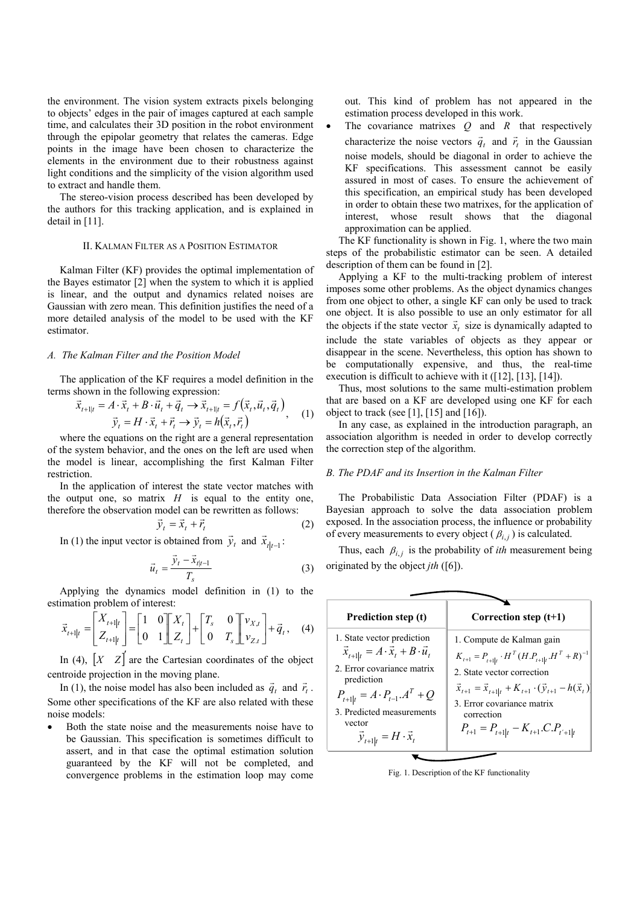the environment. The vision system extracts pixels belonging to objects' edges in the pair of images captured at each sample time, and calculates their 3D position in the robot environment through the epipolar geometry that relates the cameras. Edge points in the image have been chosen to characterize the elements in the environment due to their robustness against light conditions and the simplicity of the vision algorithm used to extract and handle them.

The stereo-vision process described has been developed by the authors for this tracking application, and is explained in detail in [11].

## II. KALMAN FILTER AS A POSITION ESTIMATOR

Kalman Filter (KF) provides the optimal implementation of the Bayes estimator [2] when the system to which it is applied is linear, and the output and dynamics related noises are Gaussian with zero mean. This definition justifies the need of a more detailed analysis of the model to be used with the KF estimator.

### *A. The Kalman Filter and the Position Model*

The application of the KF requires a model definition in the terms shown in the following expression:<br>  $\vec{x} = 4 \cdot \vec{x} + B \cdot \vec{y} + \vec{z} \times \vec{x} = f(\vec{x} \ \vec{y} \ \vec{z})$ 

$$
\vec{x}_{t+1|t} = A \cdot \vec{x}_t + B \cdot \vec{u}_t + \vec{q}_t \rightarrow \vec{x}_{t+1|t} = f(\vec{x}_t, \vec{u}_t, \vec{q}_t)
$$
\n
$$
\vec{y}_t = H \cdot \vec{x}_t + \vec{r}_t \rightarrow \vec{y}_t = h(\vec{x}_t, \vec{r}_t)
$$
\n(1)

where the equations on the right are a general representation of the system behavior, and the ones on the left are used when the model is linear, accomplishing the first Kalman Filter restriction.

In the application of interest the state vector matches with the output one, so matrix  $H$  is equal to the entity one, therefore the observation model can be rewritten as follows:

$$
\vec{y}_t = \vec{x}_t + \vec{r}_t \tag{2}
$$

In (1) the input vector is obtained from  $\vec{y}_t$  and  $\vec{x}_{t|t-1}$ :

$$
\vec{u}_t = \frac{\vec{y}_t - \vec{x}_{t|t-1}}{T_s} \tag{3}
$$

Applying the dynamics model definition in (1) to the estimation problem of interest:

$$
\vec{x}_{t+1|t} = \begin{bmatrix} X_{t+1|t} \\ Z_{t+1|t} \end{bmatrix} = \begin{bmatrix} 1 & 0 \\ 0 & 1 \end{bmatrix} \begin{bmatrix} X_t \\ Z_t \end{bmatrix} + \begin{bmatrix} T_s & 0 \\ 0 & T_s \end{bmatrix} \begin{bmatrix} v_{X,t} \\ v_{Z,t} \end{bmatrix} + \vec{q}_t, \quad (4)
$$

In (4),  $\begin{bmatrix} X & Z \end{bmatrix}$  are the Cartesian coordinates of the object centroide projection in the moving plane.

In (1), the noise model has also been included as  $\vec{q}_t$  and  $\vec{r}_t$ . Some other specifications of the KF are also related with these noise models:

• Both the state noise and the measurements noise have to be Gaussian. This specification is sometimes difficult to assert, and in that case the optimal estimation solution guaranteed by the KF will not be completed, and convergence problems in the estimation loop may come out. This kind of problem has not appeared in the estimation process developed in this work.

The covariance matrixes  $Q$  and  $R$  that respectively characterize the noise vectors  $\vec{q}_t$  and  $\vec{r}_t$  in the Gaussian noise models, should be diagonal in order to achieve the KF specifications. This assessment cannot be easily assured in most of cases. To ensure the achievement of this specification, an empirical study has been developed in order to obtain these two matrixes, for the application of interest, whose result shows that the diagonal approximation can be applied.

The KF functionality is shown in Fig. 1, where the two main steps of the probabilistic estimator can be seen. A detailed description of them can be found in [2].

Applying a KF to the multi-tracking problem of interest imposes some other problems. As the object dynamics changes from one object to other, a single KF can only be used to track one object. It is also possible to use an only estimator for all the objects if the state vector  $\vec{x}_t$  size is dynamically adapted to include the state variables of objects as they appear or disappear in the scene. Nevertheless, this option has shown to be computationally expensive, and thus, the real-time execution is difficult to achieve with it ([12], [13], [14]).

Thus, most solutions to the same multi-estimation problem that are based on a KF are developed using one KF for each object to track (see [1], [15] and [16]).

In any case, as explained in the introduction paragraph, an association algorithm is needed in order to develop correctly the correction step of the algorithm.

#### *B. The PDAF and its Insertion in the Kalman Filter*

The Probabilistic Data Association Filter (PDAF) is a Bayesian approach to solve the data association problem exposed. In the association process, the influence or probability of every measurements to every object ( $\beta_{i,j}$ ) is calculated.

Thus, each  $\beta_{i,j}$  is the probability of *ith* measurement being originated by the object *jth* ([6]).

| Prediction step (t)                                                                                                                                                                                                                                          | Correction step $(t+1)$                                                                                                                                                                                                                                                                                     |
|--------------------------------------------------------------------------------------------------------------------------------------------------------------------------------------------------------------------------------------------------------------|-------------------------------------------------------------------------------------------------------------------------------------------------------------------------------------------------------------------------------------------------------------------------------------------------------------|
| 1. State vector prediction<br>$\vec{x}_{t+1 t} = A \cdot \vec{x}_t + B \cdot \vec{u}_t$<br>2. Error covariance matrix<br>prediction<br>$P_{t+1 t} = A \cdot P_{t-1} A^T + Q$<br>3. Predicted measurements<br>vector<br>$\vec{y}_{t+1 t} = H \cdot \vec{x}_t$ | 1. Compute de Kalman gain<br>$K_{t+1} = P_{t+1 t} \cdot H^{T} (H.P_{t+1 t} . H^{T} + R)^{-1}$<br>2. State vector correction<br>$\vec{x}_{t+1} = \vec{x}_{t+1 t} + K_{t+1} \cdot (\vec{y}_{t+1} - h(\vec{x}_t))$<br>3. Error covariance matrix<br>correction<br>$P_{t+1} = P_{t+1 t} - K_{t+1}.C.P_{t'+1 t}$ |

Fig. 1. Description of the KF functionality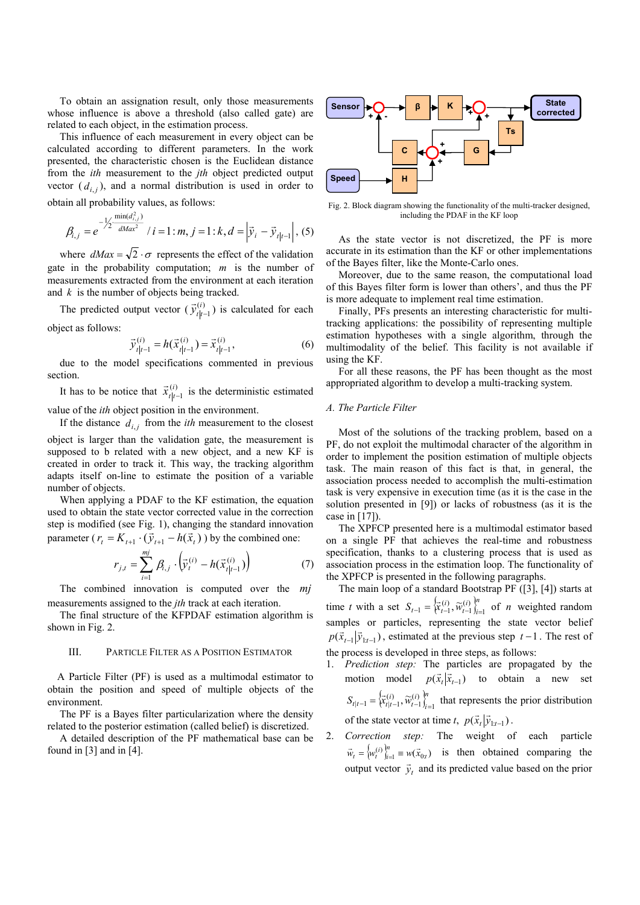To obtain an assignation result, only those measurements whose influence is above a threshold (also called gate) are related to each object, in the estimation process.

This influence of each measurement in every object can be calculated according to different parameters. In the work presented, the characteristic chosen is the Euclidean distance from the *ith* measurement to the *jth* object predicted output vector  $(d_{i,j})$ , and a normal distribution is used in order to

obtain all probability values, as follows:

$$
\beta_{i,j} = e^{-\frac{1}{2}\frac{\min(d_{i,j}^2)}{dMax^2}} / i = 1 : m, j = 1 : k, d = \left| \vec{y}_i - \vec{y}_{t|t-1} \right|, (5)
$$

where  $dMax = \sqrt{2} \cdot \sigma$  represents the effect of the validation gate in the probability computation; *m* is the number of measurements extracted from the environment at each iteration and *k* is the number of objects being tracked.

The predicted output vector ( $\vec{y}_{t|t-1}^{(i)}$  $\vec{y}^{(i)}_{t|t-1}$ ) is calculated for each object as follows:

$$
\vec{y}_{t|t-1}^{(i)} = h(\vec{x}_{t|t-1}^{(i)}) = \vec{x}_{t|t-1}^{(i)},
$$
\n(6)

due to the model specifications commented in previous section.

It has to be notice that  $\vec{x}_{t|t-1}^{(i)}$  $\vec{x}_{t|t-1}^{(i)}$  is the deterministic estimated

value of the *ith* object position in the environment. If the distance  $d_{i,i}$  from the *ith* measurement to the closest

object is larger than the validation gate, the measurement is supposed to b related with a new object, and a new KF is created in order to track it. This way, the tracking algorithm adapts itself on-line to estimate the position of a variable number of objects.

When applying a PDAF to the KF estimation, the equation used to obtain the state vector corrected value in the correction step is modified (see Fig. 1), changing the standard innovation parameter ( $r_t = K_{t+1} \cdot (\vec{y}_{t+1} - h(\vec{x}_t))$ ) by the combined one:

$$
r_{j,t} = \sum_{i=1}^{mj} \beta_{i,j} \cdot (\overline{\vec{y}}_t^{(i)} - h(\vec{x}_{t|t-1}^{(i)}))
$$
(7)

The combined innovation is computed over the *mj* measurements assigned to the *jth* track at each iteration.

The final structure of the KFPDAF estimation algorithm is shown in Fig. 2.

## III. PARTICLE FILTER AS A POSITION ESTIMATOR

A Particle Filter (PF) is used as a multimodal estimator to obtain the position and speed of multiple objects of the environment.

The PF is a Bayes filter particularization where the density related to the posterior estimation (called belief) is discretized.

A detailed description of the PF mathematical base can be found in [3] and in [4].



Fig. 2. Block diagram showing the functionality of the multi-tracker designed, including the PDAF in the KF loop

As the state vector is not discretized, the PF is more accurate in its estimation than the KF or other implementations of the Bayes filter, like the Monte-Carlo ones.

Moreover, due to the same reason, the computational load of this Bayes filter form is lower than others', and thus the PF is more adequate to implement real time estimation.

Finally, PFs presents an interesting characteristic for multitracking applications: the possibility of representing multiple estimation hypotheses with a single algorithm, through the multimodality of the belief. This facility is not available if using the KF.

For all these reasons, the PF has been thought as the most appropriated algorithm to develop a multi-tracking system.

# *A. The Particle Filter*

Most of the solutions of the tracking problem, based on a PF, do not exploit the multimodal character of the algorithm in order to implement the position estimation of multiple objects task. The main reason of this fact is that, in general, the association process needed to accomplish the multi-estimation task is very expensive in execution time (as it is the case in the solution presented in [9]) or lacks of robustness (as it is the case in [17]).

The XPFCP presented here is a multimodal estimator based on a single PF that achieves the real-time and robustness specification, thanks to a clustering process that is used as association process in the estimation loop. The functionality of the XPFCP is presented in the following paragraphs.

The main loop of a standard Bootstrap PF ([3], [4]) starts at time *t* with a set  $S_{t-1} = \begin{cases} \sum_{i=1}^{t} (i)_{t} & \text{if } i \neq j \\ 0 & \text{if } i \neq j \end{cases}$ *i*  $S_{t-1} = \left\{ \vec{x}_{t-1}^{(i)}, \vec{w}_{t-1}^{(i)} \right\}_{i=1}^{n}$  of *n* weighted random samples or particles, representing the state vector belief  $p(\vec{x}_{t-1} | \vec{y}_{1:t-1})$ , estimated at the previous step  $t-1$ . The rest of the process is developed in three steps, as follows:

- 1. *Prediction step:* The particles are propagated by the motion model  $p(\vec{x}_t | \vec{x}_{t-1})$  to obtain a new set  $\left\{\vec{x}_{t}^{(i)}, \widetilde{w}_{t-1}^{(i)}\right\}^{n}_{i}$ *i*  $S_{t|t-1} = \left\{ \vec{x}_{t|t-1}^{(i)}, \vec{w}_{t-1}^{(i)} \right\}_{i=1}^{n}$  that represents the prior distribution of the state vector at time *t*,  $p(\vec{x}_t | \vec{y}_{1:t-1})$ .
- 2. *Correction step:* The weight of each particle  $\{w_t^{(i)}\}_{i=1}^n \equiv w(\vec{x}_{0:t})$  $\vec{w}_t = \left\{ w_t^{(i)} \right\}_{i=1}^m \equiv w(\vec{x}_{0:t})$  is then obtained comparing the output vector  $\vec{y}_t$  and its predicted value based on the prior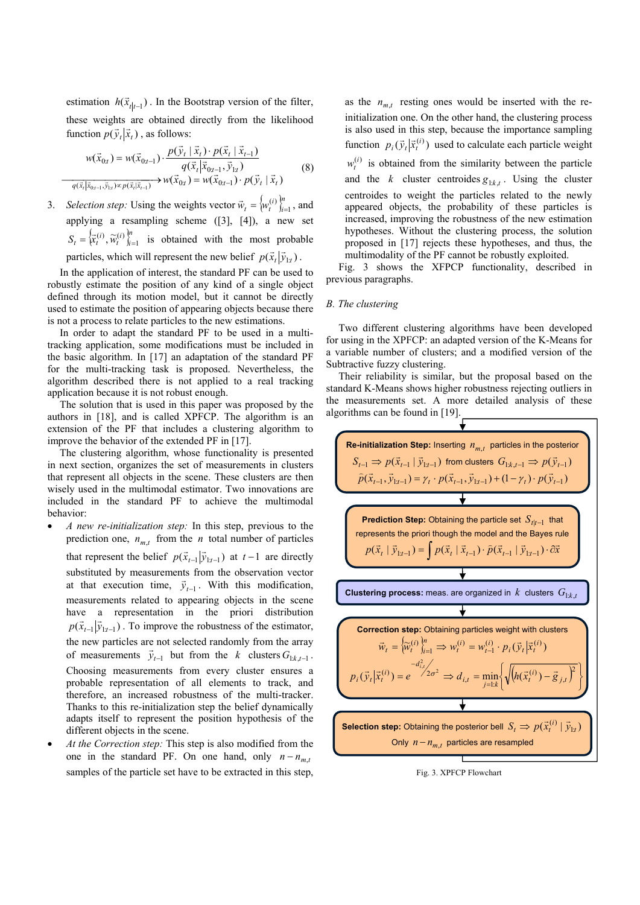estimation  $h(\vec{x}_{t|t-1})$ . In the Bootstrap version of the filter, these weights are obtained directly from the likelihood function  $p(\vec{y}_t | \vec{x}_t)$ , as follows:

$$
w(\vec{x}_{0t}) = w(\vec{x}_{0t-1}) \cdot \frac{p(\vec{y}_t | \vec{x}_t) \cdot p(\vec{x}_t | \vec{x}_{t-1})}{q(\vec{x}_t | \vec{x}_{0t-1}, \vec{y}_{1t})}
$$
  
\n
$$
\frac{q(\vec{x}_t | \vec{x}_{0t-1}, \vec{y}_{1t})}{q(\vec{x}_t | \vec{x}_{0t-1}, \vec{y}_{1t}) \times p(\vec{x}_t | \vec{x}_{t-1})} \rightarrow w(\vec{x}_{0t}) = w(\vec{x}_{0t-1}) \cdot p(\vec{y}_t | \vec{x}_t)
$$
\n(8)

3. *Selection step:* Using the weights vector  $\vec{w}_t = \{w_t^{(i)}\}_{i=1}^n$ , and applying a resampling scheme ([3], [4]), a new set  $S_t = \left\{ \vec{x}_t^{(i)}, \vec{w}_t^{(i)} \right\}_{i=1}^n$  is obtained with the most probable particles, which will represent the new belief  $p(\vec{x}, |\vec{y}_{1:t})$ .

In the application of interest, the standard PF can be used to robustly estimate the position of any kind of a single object defined through its motion model, but it cannot be directly used to estimate the position of appearing objects because there is not a process to relate particles to the new estimations.

In order to adapt the standard PF to be used in a multitracking application, some modifications must be included in the basic algorithm. In [17] an adaptation of the standard PF for the multi-tracking task is proposed. Nevertheless, the algorithm described there is not applied to a real tracking application because it is not robust enough.

The solution that is used in this paper was proposed by the authors in [18], and is called XPFCP. The algorithm is an extension of the PF that includes a clustering algorithm to improve the behavior of the extended PF in [17].

The clustering algorithm, whose functionality is presented in next section, organizes the set of measurements in clusters that represent all objects in the scene. These clusters are then wisely used in the multimodal estimator. Two innovations are included in the standard PF to achieve the multimodal behavior:

- *A new re-initialization step:* In this step, previous to the prediction one,  $n_{m}$  from the *n* total number of particles that represent the belief  $p(\vec{x}_{t-1} | \vec{y}_{1:t-1})$  at  $t-1$  are directly substituted by measurements from the observation vector at that execution time,  $\vec{y}_{t-1}$ . With this modification, measurements related to appearing objects in the scene have a representation in the priori distribution  $p(\vec{x}_{t-1} | \vec{y}_{1:t-1})$ . To improve the robustness of the estimator, the new particles are not selected randomly from the array of measurements  $\vec{y}_{t-1}$  but from the *k* clusters  $G_{1:k,t-1}$ . Choosing measurements from every cluster ensures a probable representation of all elements to track, and therefore, an increased robustness of the multi-tracker. Thanks to this re-initialization step the belief dynamically adapts itself to represent the position hypothesis of the different objects in the scene.
- *At the Correction step:* This step is also modified from the one in the standard PF. On one hand, only  $n - n_{m}$ samples of the particle set have to be extracted in this step,

as the  $n_{m}$  resting ones would be inserted with the reinitialization one. On the other hand, the clustering process is also used in this step, because the importance sampling function  $p_i(\vec{y}_t | \vec{x}_t^{(i)})$  used to calculate each particle weight  $w_t^{(i)}$  is obtained from the similarity between the particle and the *k* cluster centroides  $g_{1:k,t}$ . Using the cluster centroides to weight the particles related to the newly appeared objects, the probability of these particles is increased, improving the robustness of the new estimation hypotheses. Without the clustering process, the solution proposed in [17] rejects these hypotheses, and thus, the multimodality of the PF cannot be robustly exploited.

Fig. 3 shows the XFPCP functionality, described in previous paragraphs.

## *B. The clustering*

Two different clustering algorithms have been developed for using in the XPFCP: an adapted version of the K-Means for a variable number of clusters; and a modified version of the Subtractive fuzzy clustering.

Their reliability is similar, but the proposal based on the standard K-Means shows higher robustness rejecting outliers in the measurements set. A more detailed analysis of these algorithms can be found in [19].



Fig. 3. XPFCP Flowchart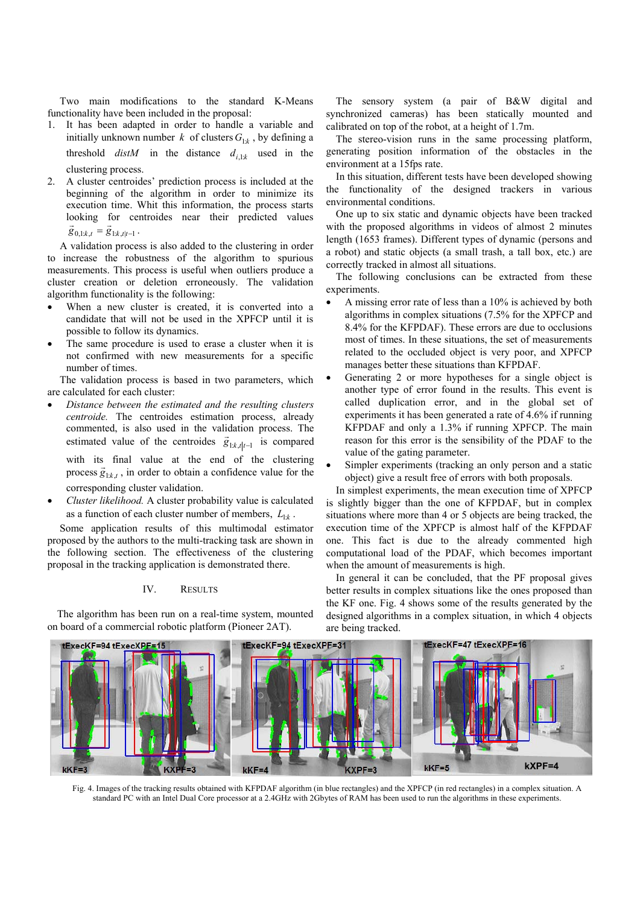Two main modifications to the standard K-Means functionality have been included in the proposal:

- 1. It has been adapted in order to handle a variable and initially unknown number *k* of clusters  $G_{1:k}$ , by defining a threshold  $distM$  in the distance  $d_{i,1:k}$  used in the clustering process.
- 2. A cluster centroides' prediction process is included at the beginning of the algorithm in order to minimize its execution time. Whit this information, the process starts looking for centroides near their predicted values  $\vec{g}_{0,1:k,t} = \vec{g}_{1:k,t|t-1}$ .

A validation process is also added to the clustering in order to increase the robustness of the algorithm to spurious measurements. This process is useful when outliers produce a cluster creation or deletion erroneously. The validation algorithm functionality is the following:

- When a new cluster is created, it is converted into a candidate that will not be used in the XPFCP until it is possible to follow its dynamics.
- The same procedure is used to erase a cluster when it is not confirmed with new measurements for a specific number of times.

The validation process is based in two parameters, which are calculated for each cluster:

- *Distance between the estimated and the resulting clusters centroide.* The centroides estimation process, already commented, is also used in the validation process. The estimated value of the centroides  $\vec{g}_{1:k,t|t-1}$  is compared with its final value at the end of the clustering process  $\vec{g}_{1k,t}$ , in order to obtain a confidence value for the corresponding cluster validation.
- *Cluster likelihood.* A cluster probability value is calculated as a function of each cluster number of members,  $L_{1:k}$ .

Some application results of this multimodal estimator proposed by the authors to the multi-tracking task are shown in the following section. The effectiveness of the clustering proposal in the tracking application is demonstrated there.

# IV. RESULTS

The algorithm has been run on a real-time system, mounted on board of a commercial robotic platform (Pioneer 2AT).

The sensory system (a pair of B&W digital and synchronized cameras) has been statically mounted and calibrated on top of the robot, at a height of 1.7m.

The stereo-vision runs in the same processing platform, generating position information of the obstacles in the environment at a 15fps rate.

In this situation, different tests have been developed showing the functionality of the designed trackers in various environmental conditions.

One up to six static and dynamic objects have been tracked with the proposed algorithms in videos of almost 2 minutes length (1653 frames). Different types of dynamic (persons and a robot) and static objects (a small trash, a tall box, etc.) are correctly tracked in almost all situations.

The following conclusions can be extracted from these experiments.

- A missing error rate of less than a 10% is achieved by both algorithms in complex situations (7.5% for the XPFCP and 8.4% for the KFPDAF). These errors are due to occlusions most of times. In these situations, the set of measurements related to the occluded object is very poor, and XPFCP manages better these situations than KFPDAF.
- Generating 2 or more hypotheses for a single object is another type of error found in the results. This event is called duplication error, and in the global set of experiments it has been generated a rate of 4.6% if running KFPDAF and only a 1.3% if running XPFCP. The main reason for this error is the sensibility of the PDAF to the value of the gating parameter.
- Simpler experiments (tracking an only person and a static object) give a result free of errors with both proposals.

In simplest experiments, the mean execution time of XPFCP is slightly bigger than the one of KFPDAF, but in complex situations where more than 4 or 5 objects are being tracked, the execution time of the XPFCP is almost half of the KFPDAF one. This fact is due to the already commented high computational load of the PDAF, which becomes important when the amount of measurements is high.

In general it can be concluded, that the PF proposal gives better results in complex situations like the ones proposed than the KF one. Fig. 4 shows some of the results generated by the designed algorithms in a complex situation, in which 4 objects are being tracked.



Fig. 4. Images of the tracking results obtained with KFPDAF algorithm (in blue rectangles) and the XPFCP (in red rectangles) in a complex situation. A standard PC with an Intel Dual Core processor at a 2.4GHz with 2Gbytes of RAM has been used to run the algorithms in these experiments.